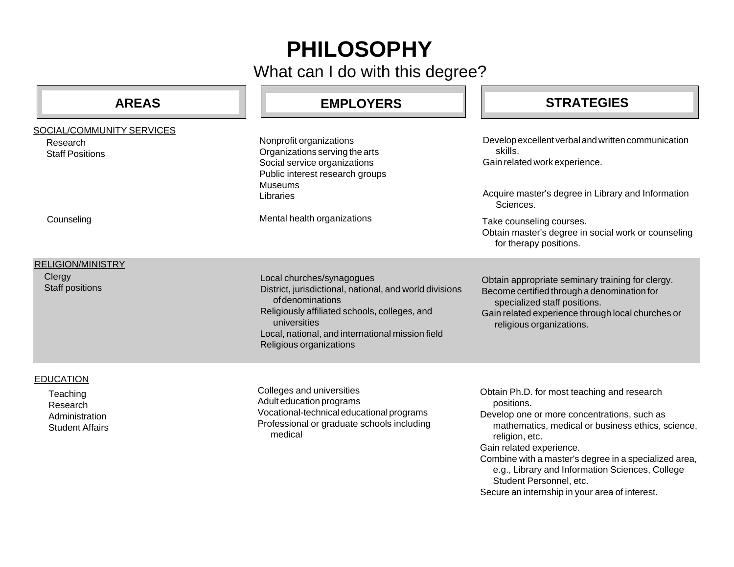## **PHILOSOPHY**

What can I do with this degree?

| <b>AREAS</b>                                                                         | <b>EMPLOYERS</b>                                                                                                                                                                                                                                         | <b>STRATEGIES</b>                                                                                                                                                                                                                                                                                                                                                                                    |
|--------------------------------------------------------------------------------------|----------------------------------------------------------------------------------------------------------------------------------------------------------------------------------------------------------------------------------------------------------|------------------------------------------------------------------------------------------------------------------------------------------------------------------------------------------------------------------------------------------------------------------------------------------------------------------------------------------------------------------------------------------------------|
| SOCIAL/COMMUNITY SERVICES<br>Research<br><b>Staff Positions</b>                      | Nonprofit organizations<br>Organizations serving the arts<br>Social service organizations<br>Public interest research groups<br><b>Museums</b><br>Libraries                                                                                              | Develop excellent verbal and written communication<br>skills.<br>Gain related work experience.<br>Acquire master's degree in Library and Information<br>Sciences.                                                                                                                                                                                                                                    |
| Counseling                                                                           | Mental health organizations                                                                                                                                                                                                                              | Take counseling courses.<br>Obtain master's degree in social work or counseling<br>for therapy positions.                                                                                                                                                                                                                                                                                            |
| <b>RELIGION/MINISTRY</b><br>Clergy<br><b>Staff positions</b>                         | Local churches/synagogues<br>District, jurisdictional, national, and world divisions<br>of denominations<br>Religiously affiliated schools, colleges, and<br>universities<br>Local, national, and international mission field<br>Religious organizations | Obtain appropriate seminary training for clergy.<br>Become certified through a denomination for<br>specialized staff positions.<br>Gain related experience through local churches or<br>religious organizations.                                                                                                                                                                                     |
| <b>EDUCATION</b><br>Teaching<br>Research<br>Administration<br><b>Student Affairs</b> | Colleges and universities<br>Adult education programs<br>Vocational-technical educational programs<br>Professional or graduate schools including<br>medical                                                                                              | Obtain Ph.D. for most teaching and research<br>positions.<br>Develop one or more concentrations, such as<br>mathematics, medical or business ethics, science,<br>religion, etc.<br>Gain related experience.<br>Combine with a master's degree in a specialized area,<br>e.g., Library and Information Sciences, College<br>Student Personnel, etc.<br>Secure an internship in your area of interest. |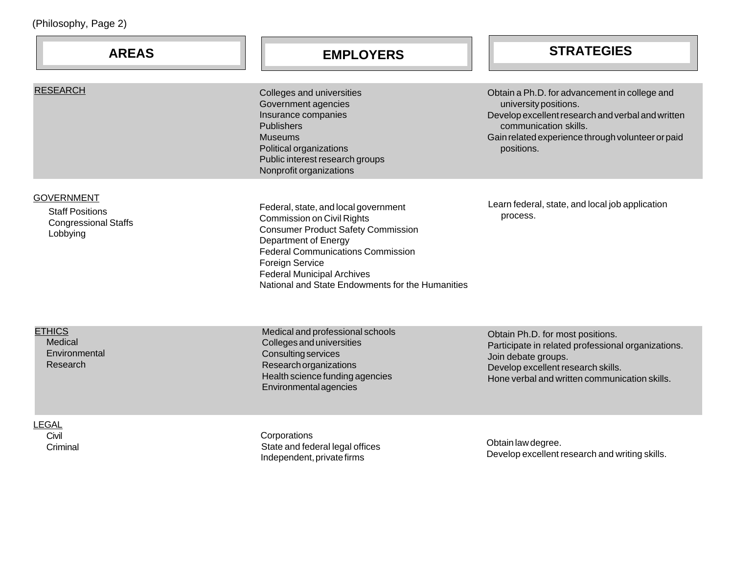| (Philosophy, Page 2)                                                                   |                                                                                                                                                                                                                                                                                                        |                                                                                                                                                                                                                         |  |  |
|----------------------------------------------------------------------------------------|--------------------------------------------------------------------------------------------------------------------------------------------------------------------------------------------------------------------------------------------------------------------------------------------------------|-------------------------------------------------------------------------------------------------------------------------------------------------------------------------------------------------------------------------|--|--|
| <b>AREAS</b>                                                                           | <b>EMPLOYERS</b>                                                                                                                                                                                                                                                                                       | <b>STRATEGIES</b>                                                                                                                                                                                                       |  |  |
| <b>RESEARCH</b>                                                                        | Colleges and universities<br>Government agencies<br>Insurance companies<br><b>Publishers</b><br><b>Museums</b><br>Political organizations<br>Public interest research groups<br>Nonprofit organizations                                                                                                | Obtain a Ph.D. for advancement in college and<br>university positions.<br>Develop excellent research and verbal and written<br>communication skills.<br>Gain related experience through volunteer or paid<br>positions. |  |  |
| <b>GOVERNMENT</b><br><b>Staff Positions</b><br><b>Congressional Staffs</b><br>Lobbying | Federal, state, and local government<br><b>Commission on Civil Rights</b><br><b>Consumer Product Safety Commission</b><br>Department of Energy<br><b>Federal Communications Commission</b><br>Foreign Service<br><b>Federal Municipal Archives</b><br>National and State Endowments for the Humanities | Learn federal, state, and local job application<br>process.                                                                                                                                                             |  |  |
| <b>ETHICS</b><br>Medical<br>Environmental<br>Research                                  | Medical and professional schools<br>Colleges and universities<br><b>Consulting services</b><br>Research organizations<br>Health science funding agencies<br>Environmental agencies                                                                                                                     | Obtain Ph.D. for most positions.<br>Participate in related professional organizations.<br>Join debate groups.<br>Develop excellent research skills.<br>Hone verbal and written communication skills.                    |  |  |
| <b>LEGAL</b><br>Civil                                                                  | Corporations                                                                                                                                                                                                                                                                                           |                                                                                                                                                                                                                         |  |  |

**Criminal** 

 State and federal legal offices Independent, private firms

Obtain law degree. Develop excellent research and writing skills.